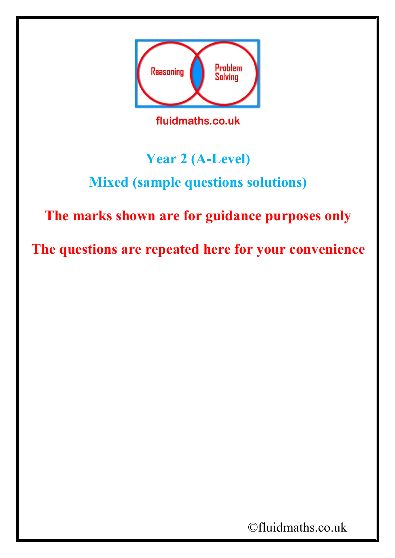

fluidmaths.co.uk

## **Year 2 (A-Level)**

## **Mixed (sample questions solutions)**

## **The marks shown are for guidance purposes only**

**The questions are repeated here for your convenience**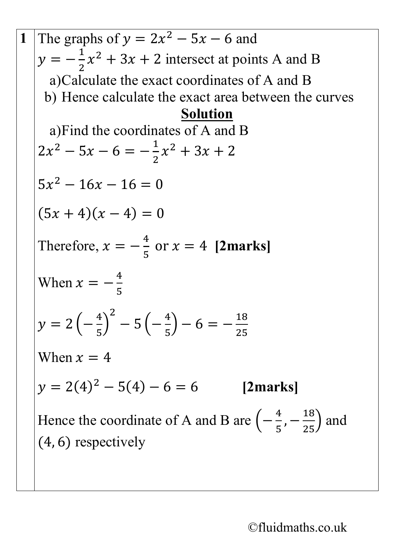**1** The graphs of  $y = 2x^2 - 5x - 6$  and  $y = -\frac{1}{2}$ .<br>2  $x^2 + 3x + 2$  intersect at points A and B a)Calculate the exact coordinates of A and B b) Hence calculate the exact area between the curves **Solution** a)Find the coordinates of A and B  $2x^2 - 5x - 6 = -\frac{1}{2}$ 2  $x^2 + 3x + 2$  $5x^2 - 16x - 16 = 0$  $(5x + 4)(x - 4) = 0$ Therefore,  $x = -\frac{4}{5}$ 5 or  $x = 4$  [2marks] When  $x = -\frac{4}{5}$ 5  $y = 2\left(-\frac{4}{5}\right)$ 5  $\int$  $^{2}-5\left(-\frac{4}{5}\right)$ 5  $\binom{18}{25}$  – 6 =  $-\frac{18}{25}$ 25 When  $x = 4$  $y = 2(4)^2 - 5(4) - 6 = 6$  [2marks] Hence the coordinate of A and B are  $\left(-\frac{4}{5}, -\frac{18}{25}\right)$  and (4, 6) respectively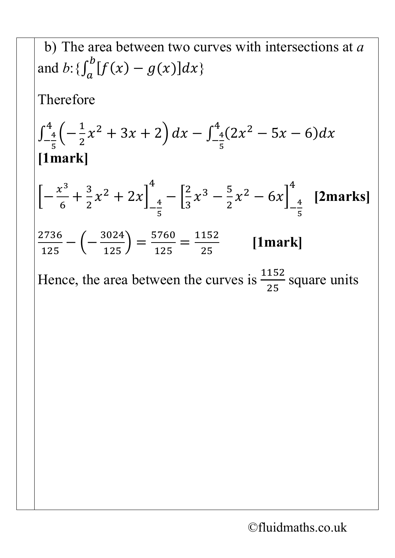b) The area between two curves with intersections at a  
and b: 
$$
\{\int_a^b f(x) - g(x) dx\}
$$
  
Therefore  

$$
\int_{-\frac{4}{5}}^{4} \left(-\frac{1}{2}x^2 + 3x + 2\right) dx - \int_{-\frac{4}{5}}^{4} (2x^2 - 5x - 6) dx
$$
  
[1mark]  

$$
\left[-\frac{x^3}{6} + \frac{3}{2}x^2 + 2x\right]_{-\frac{4}{5}}^{4} - \left[\frac{2}{3}x^3 - \frac{5}{2}x^2 - 6x\right]_{-\frac{4}{5}}^{4}
$$
[2marks]  

$$
\frac{2736}{125} - \left(-\frac{3024}{125}\right) = \frac{5760}{125} = \frac{1152}{25}
$$
[1mark]  
Hence, the area between the curves is  $\frac{1152}{25}$  square units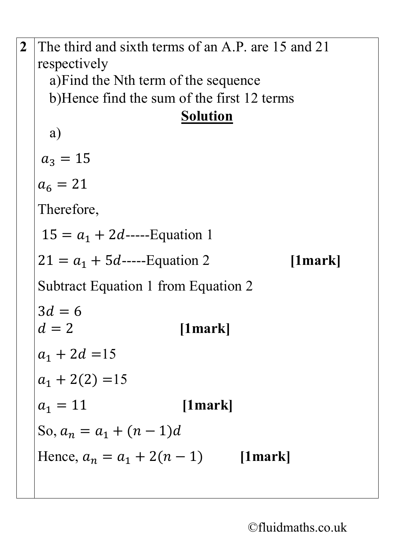**2** The third and sixth terms of an A.P. are 15 and 21 respectively a)Find the Nth term of the sequence b)Hence find the sum of the first 12 terms **Solution** a)  $a_3 = 15$  $a_6 = 21$ Therefore,  $15 = a_1 + 2d$ -----Equation 1  $21 = a_1 + 5d$ -----Equation 2 [1mark] Subtract Equation 1 from Equation 2  $3d = 6$ <br> $d = 2$  = 2 **[1mark]**  $a_1 + 2d = 15$  $a_1 + 2(2) = 15$  $a_1 = 11$  [1mark] So,  $a_n = a_1 + (n-1)d$ Hence,  $a_n = a_1 + 2(n - 1)$  [1mark]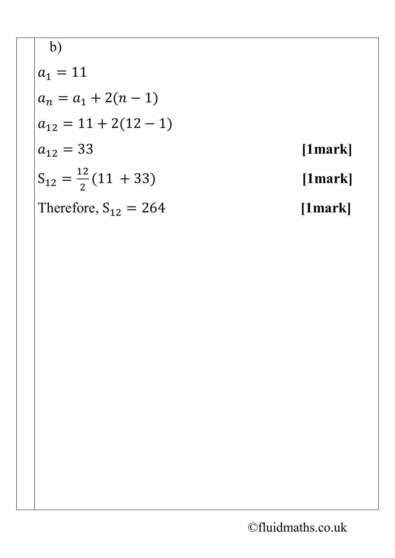b)  
\n
$$
a_1 = 11
$$
  
\n $a_n = a_1 + 2(n - 1)$   
\n $a_{12} = 11 + 2(12 - 1)$   
\n $a_{12} = 33$  [1mark]  
\n $S_{12} = \frac{12}{2}(11 + 33)$  [1mark]  
\nTherefore, S<sub>12</sub> = 264 [1mark]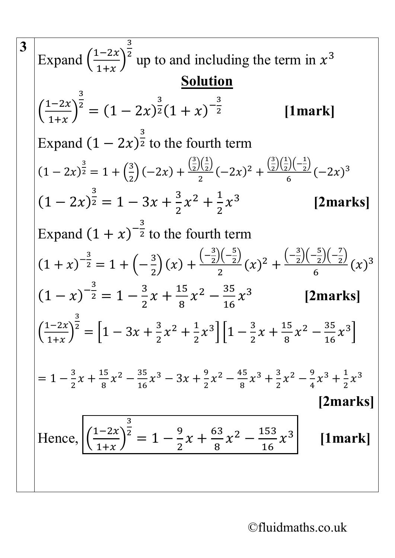3   
\nExpand 
$$
\left(\frac{1-2x}{1+x}\right)^{\frac{3}{2}}
$$
 up to and including the term in  $x^3$   
\nSolution  
\n
$$
\left(\frac{1-2x}{1+x}\right)^{\frac{3}{2}} = (1-2x)^{\frac{3}{2}}(1+x)^{-\frac{3}{2}}
$$
\n[1mark]  
\nExpand  $(1-2x)^{\frac{3}{2}}$  to the fourth term  
\n $(1-2x)^{\frac{3}{2}} = 1 + \left(\frac{3}{2}\right)(-2x) + \frac{\left(\frac{3}{2}\right)\left(\frac{1}{2}\right)}{2}(-2x)^2 + \frac{\left(\frac{3}{2}\right)\left(\frac{1}{2}\right)\left(-\frac{1}{2}\right)}{6}(-2x)^3$   
\n $(1-2x)^{\frac{3}{2}} = 1 - 3x + \frac{3}{2}x^2 + \frac{1}{2}x^3$  [2marks]  
\nExpand  $(1+x)^{-\frac{3}{2}}$  to the fourth term  
\n $(1+x)^{-\frac{3}{2}} = 1 + \left(-\frac{3}{2}\right)(x) + \frac{\left(-\frac{3}{2}\right)\left(-\frac{5}{2}\right)}{2}(x)^2 + \frac{\left(-\frac{3}{2}\right)\left(-\frac{5}{2}\right)}{6}(x)^3$   
\n $(1-x)^{-\frac{3}{2}} = 1 - \frac{3}{2}x + \frac{15}{8}x^2 - \frac{35}{16}x^3$  [2marks]  
\n
$$
\left(\frac{1-2x}{1+x}\right)^{\frac{3}{2}} = \left[1 - 3x + \frac{3}{2}x^2 + \frac{1}{2}x^3\right]\left[1 - \frac{3}{2}x + \frac{15}{8}x^2 - \frac{35}{16}x^3\right]
$$
  
\n
$$
= 1 - \frac{3}{2}x + \frac{15}{8}x^2 - \frac{35}{16}x^3 - 3x + \frac{9}{2}x^2 - \frac{45}{8}x^3 + \frac{3}{2}x^2 - \frac{9}{4}x^3 + \frac{1}{2}x^3
$$
  
\n[2marks]  
\nHence,  $\left(\frac{1-2x}{1+x}\right)^{\frac{3}{2}} = 1 - \frac{9}{2}x + \frac{63$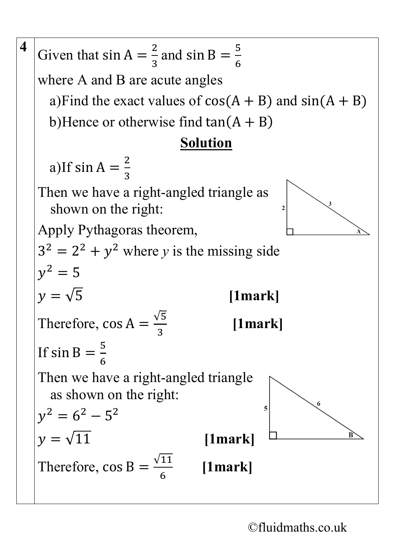**4** Given that  $\sin A = \frac{2}{3}$ and sin B =  $\frac{5}{6}$ 3 6 where A and B are acute angles a)Find the exact values of  $cos(A + B)$  and  $sin(A + B)$ b)Hence or otherwise find  $tan(A + B)$ **Solution** a)If  $sin A = \frac{2}{3}$ 3 Then we have a right-angled triangle as shown on the right: Apply Pythagoras theorem,  $3^2 = 2^2 + y^2$  where *y* is the missing side  $v^2 = 5$  $y = \sqrt{5}$  [1mark] Therefore,  $\cos A = \frac{\sqrt{5}}{3}$ 3 **[1mark]** If sin B  $=\frac{5}{6}$ 6 Then we have a right-angled triangle as shown on the right: 5  $y^2 = 6^2 - 5^2$  $y = \sqrt{11}$  [1mark] Therefore,  $\cos B = \frac{\sqrt{11}}{6}$ 6 **[1mark]**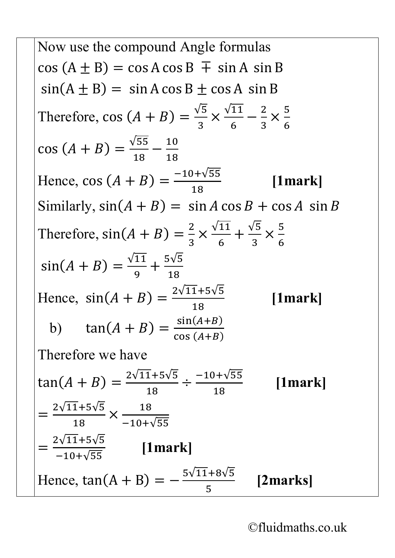Now use the compound Angle formulas  $cos (A \pm B) = cos A cos B \mp sin A sin B$  $sin(A \pm B) = sin A cos B \pm cos A sin B$ Therefore, cos  $(A + B) = \frac{\sqrt{5}}{3}$ 3  $\times \frac{\sqrt{11}}{6} - \frac{2}{3}$ ×  $\frac{5}{6}$  $cos(A + B) =$  $\frac{\sqrt{55}}{18} - \frac{10}{18}$ Hence, cos  $(A + B) = \frac{-10 + \sqrt{55}}{40}$ 18 **[1mark]** Similarly,  $sin(A + B) = sin A cos B + cos A sin B$ Therefore,  $sin(A + B) = \frac{2}{3}$ 3  $\times \frac{\sqrt{11}}{6}$ 6  $+\frac{\sqrt{5}}{3}$ 3 ×  $\frac{5}{1}$ 6  $sin(A + B) =$ √11 9  $+\frac{5\sqrt{5}}{18}$ 18 Hence,  $sin(A + B) = \frac{2\sqrt{11+5}\sqrt{5}}{18}$ 18 **[1mark]** b)  $\tan(A+B) = \frac{\sin(A+B)}{\cos(A+B)}$  $cos(A+B)$ Therefore we have  $tan(A + B) =$ 2√11+5√5 18  $\div \frac{-10 + \sqrt{55}}{18}$ 18 **[1mark]** =  $2\sqrt{11+5}\sqrt{5}$ 18 ×  $\frac{18}{-10+\sqrt{55}}$ =  $\frac{2\sqrt{11+5\sqrt{5}}}{-10+\sqrt{55}}$  [1mark] Hence,  $tan(A + B) = -\frac{5\sqrt{11} + 8\sqrt{5}}{2}$ 5 **[2marks]**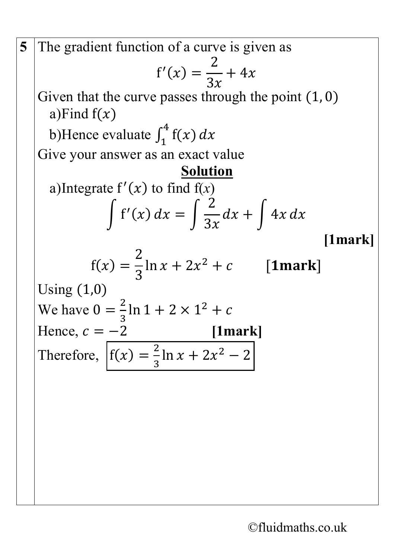5 The gradient function of a curve is given as  
\n
$$
f'(x) = \frac{2}{3x} + 4x
$$
  
\nGiven that the curve passes through the point (1, 0)  
\na) Find  $f(x)$   
\nb) Hence evaluate  $\int_1^4 f(x) dx$   
\nGive your answer as an exact value  
\na)Integrate  $f'(x)$  to find  $f(x)$   
\n $\int f'(x) dx = \int \frac{2}{3x} dx + \int 4x dx$   
\n[1mark]  
\n $f(x) = \frac{2}{3} \ln x + 2x^2 + c$  [1mark]  
\nUsing (1,0)  
\nWe have  $0 = \frac{2}{3} \ln 1 + 2 \times 1^2 + c$   
\nHence,  $c = -2$  [1mark]  
\nTherefore,  $f(x) = \frac{2}{3} \ln x + 2x^2 - 2$